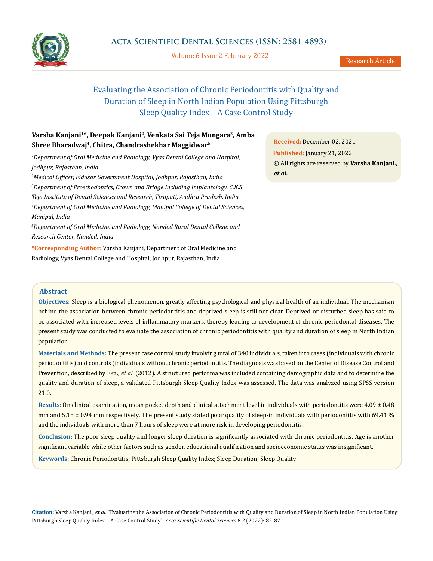

Volume 6 Issue 2 February 2022

# Evaluating the Association of Chronic Periodontitis with Quality and Duration of Sleep in North Indian Population Using Pittsburgh Sleep Quality Index – A Case Control Study

## **Varsha Kanjani1\*, Deepak Kanjani2, Venkata Sai Teja Mungara3, Amba Shree Bharadwaj4, Chitra, Chandrashekhar Maggidwar5**

*1 Department of Oral Medicine and Radiology, Vyas Dental College and Hospital, Jodhpur, Rajasthan, India*

*2 Medical Officer, Fidusar Government Hospital, Jodhpur, Rajasthan, India 3 Department of Prosthodontics, Crown and Bridge Including Implantology, C.K.S Teja Institute of Dental Sciences and Research, Tirupati, Andhra Pradesh, India 4 Department of Oral Medicine and Radiology, Manipal College of Dental Sciences, Manipal, India*

*5 Department of Oral Medicine and Radiology, Nanded Rural Dental College and Research Center, Nanded, India*

**\*Corresponding Author:** Varsha Kanjani, Department of Oral Medicine and Radiology, Vyas Dental College and Hospital, Jodhpur, Rajasthan, India.

**Received:** December 02, 2021 **Published:** January 21, 2022 © All rights are reserved by **Varsha Kanjani***., et al.*

## **Abstract**

**Objectives**: Sleep is a biological phenomenon, greatly affecting psychological and physical health of an individual. The mechanism behind the association between chronic periodontitis and deprived sleep is still not clear. Deprived or disturbed sleep has said to be associated with increased levels of inflammatory markers, thereby leading to development of chronic periodontal diseases. The present study was conducted to evaluate the association of chronic periodontitis with quality and duration of sleep in North Indian population.

**Materials and Methods:** The present case control study involving total of 340 individuals, taken into cases (individuals with chronic periodontitis) and controls (individuals without chronic periodontitis. The diagnosis was based on the Center of Disease Control and Prevention, described by Eka., *et al.* (2012). A structured performa was included containing demographic data and to determine the quality and duration of sleep, a validated Pittsburgh Sleep Quality Index was assessed. The data was analyzed using SPSS version 21.0.

**Results:** On clinical examination, mean pocket depth and clinical attachment level in individuals with periodontitis were 4.09 ± 0.48 mm and  $5.15 \pm 0.94$  mm respectively. The present study stated poor quality of sleep-in individuals with periodontitis with 69.41 % and the individuals with more than 7 hours of sleep were at more risk in developing periodontitis.

**Conclusion:** The poor sleep quality and longer sleep duration is significantly associated with chronic periodontitis. Age is another significant variable while other factors such as gender, educational qualification and socioeconomic status was insignificant.

**Keywords:** Chronic Periodontitis; Pittsburgh Sleep Quality Index; Sleep Duration; Sleep Quality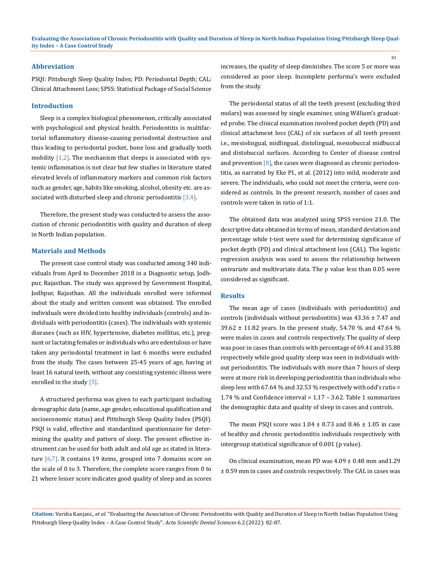#### **Abbreviation**

PSQI: Pittsburgh Sleep Quality Index; PD: Periodontal Depth; CAL: Clinical Attachment Loss; SPSS: Statistical Package of Social Science

#### **Introduction**

Sleep is a complex biological phenomenon, critically associated with psychological and physical health. Periodontitis is multifactorial inflammatory disease-causing periodontal destruction and thus leading to periodontal pocket, bone loss and gradually tooth mobility  $[1,2]$ . The mechanism that sleeps is associated with systemic inflammation is not clear but few studies in literature stated elevated levels of inflammatory markers and common risk factors such as gender, age, habits like smoking, alcohol, obesity etc. are associated with disturbed sleep and chronic periodontitis  $[3,4]$ .

Therefore, the present study was conducted to assess the association of chronic periodontitis with quality and duration of sleep in North Indian population.

#### **Materials and Methods**

The present case control study was conducted among 340 individuals from April to December 2018 in a Diagnostic setup, Jodhpur, Rajasthan. The study was approved by Government Hospital, Jodhpur, Rajasthan. All the individuals enrolled were informed about the study and written consent was obtained. The enrolled individuals were divided into healthy individuals (controls) and individuals with periodontitis (cases). The individuals with systemic diseases (such as HIV, hypertensive, diabetes mellitus, etc.), pregnant or lactating females or individuals who are edentulous or have taken any periodontal treatment in last 6 months were excluded from the study. The cases between 25-45 years of age, having at least 16 natural teeth, without any coexisting systemic illness were enrolled in the study [5].

A structured performa was given to each participant including demographic data (name, age gender, educational qualification and socioeconomic status) and Pittsburgh Sleep Quality Index (PSQI). PSQI is valid, effective and standardized questionnaire for determining the quality and pattern of sleep. The present effective instrument can be used for both adult and old age as stated in literature  $[6,7]$ . It contains 19 items, grouped into 7 domains score on the scale of 0 to 3. Therefore, the complete score ranges from 0 to 21 where lesser score indicates good quality of sleep and as scores increases, the quality of sleep diminishes. The score 5 or more was considered as poor sleep. Incomplete performa's were excluded from the study.

The periodontal status of all the teeth present (excluding third molars) was assessed by single examiner, using William's graduated probe. The clinical examination involved pocket depth (PD) and clinical attachment loss (CAL) of six surfaces of all teeth present i.e., mesiolingual, midlingual, distolingual, mesiobuccal midbuccal and distobuccal surfaces. According to Center of disease control and prevention  $[8]$ , the cases were diagnosed as chronic periodontitis, as narrated by Eke PI., et al. (2012) into mild, moderate and severe. The individuals, who could not meet the criteria, were considered as controls. In the present research, number of cases and controls were taken in ratio of 1:1.

The obtained data was analyzed using SPSS version 21.0. The descriptive data obtained in terms of mean, standard deviation and percentage while t-test were used for determining significance of pocket depth (PD) and clinical attachment loss (CAL). The logistic regression analysis was used to assess the relationship between univariate and multivariate data. The p value less than 0.05 were considered as significant.

## **Results**

The mean age of cases (individuals with periodontitis) and controls (individuals without periodontitis) was  $43.36 \pm 7.47$  and 39.62 ± 11.82 years. In the present study, 54.70 % and 47.64 % were males in cases and controls respectively. The quality of sleep was poor in cases than controls with percentage of 69.41 and 35.88 respectively while good quality sleep was seen in individuals without periodontitis. The individuals with more than 7 hours of sleep were at more risk in developing periodontitis than individuals who sleep less with 67.64 % and 32.53 % respectively with odd's ratio = 1.74 % and Confidence interval = 1.17 – 3.62. Table 1 summarizes the demographic data and quality of sleep in cases and controls.

The mean PSQI score was  $1.04 \pm 0.73$  and  $8.46 \pm 1.05$  in case of healthy and chronic periodontitis individuals respectively with intergroup statistical significance of 0.001 (p value).

On clinical examination, mean PD was  $4.09 \pm 0.48$  mm and  $1.29$ ± 0.59 mm in cases and controls respectively. The CAL in cases was

**Citation:** Varsha Kanjani*., et al.* "Evaluating the Association of Chronic Periodontitis with Quality and Duration of Sleep in North Indian Population Using Pittsburgh Sleep Quality Index – A Case Control Study". *Acta Scientific Dental Sciences* 6.2 (2022): 82-87.

83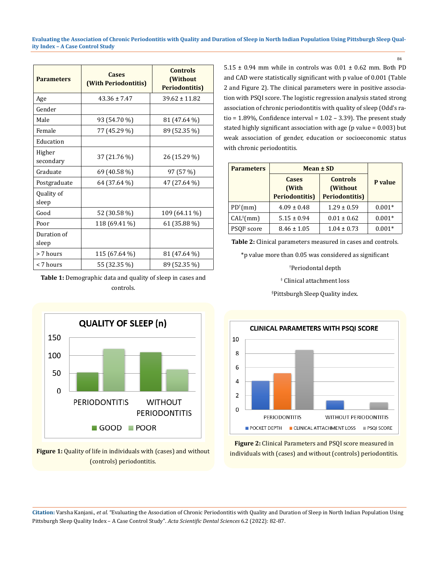**Evaluating the Association of Chronic Periodontitis with Quality and Duration of Sleep in North Indian Population Using Pittsburgh Sleep Quality Index – A Case Control Study**

| <b>Parameters</b>    | <b>Cases</b><br>(With Periodontitis) | <b>Controls</b><br>(Without<br><b>Periodontitis)</b> |  |
|----------------------|--------------------------------------|------------------------------------------------------|--|
| Age                  | $43.36 \pm 7.47$                     | $39.62 \pm 11.82$                                    |  |
| Gender               |                                      |                                                      |  |
| Male                 | 93 (54.70 %)                         | 81 (47.64 %)                                         |  |
| Female               | 77 (45.29 %)                         | 89 (52.35 %)                                         |  |
| Education            |                                      |                                                      |  |
| Higher<br>secondary  | 37 (21.76 %)                         | 26 (15.29 %)                                         |  |
| Graduate             | 69 (40.58 %)                         | 97 (57 %)                                            |  |
| Postgraduate         | 64 (37.64 %)                         | 47 (27.64 %)                                         |  |
| Quality of<br>sleep  |                                      |                                                      |  |
| Good                 | 52 (30.58 %)                         | 109 (64.11 %)                                        |  |
| Poor                 | 118 (69.41 %)                        | 61 (35.88 %)                                         |  |
| Duration of<br>sleep |                                      |                                                      |  |
| > 7 hours            | 115 (67.64 %)                        | 81 (47.64 %)                                         |  |
| < 7 hours            | 55 (32.35 %)                         | 89 (52.35 %)                                         |  |

**Table 1:** Demographic data and quality of sleep in cases and controls.



**Figure 1:** Quality of life in individuals with (cases) and without (controls) periodontitis.

 $5.15 \pm 0.94$  mm while in controls was  $0.01 \pm 0.62$  mm. Both PD and CAD were statistically significant with p value of 0.001 (Table 2 and Figure 2). The clinical parameters were in positive association with PSQI score. The logistic regression analysis stated strong association of chronic periodontitis with quality of sleep (Odd's ratio =  $1.89\%$ , Confidence interval =  $1.02 - 3.39$ ). The present study stated highly significant association with age ( $p$  value = 0.003) but weak association of gender, education or socioeconomic status with chronic periodontitis.

| <b>Parameters</b>       | Mean ± SD                                      |                                                        |          |
|-------------------------|------------------------------------------------|--------------------------------------------------------|----------|
|                         | <b>Cases</b><br>(With<br><b>Periodontitis)</b> | <b>Controls</b><br>(Without)<br><b>Periodontitis</b> ) | P value  |
|                         |                                                |                                                        |          |
| $PD^{\dagger}(mm)$      | $4.09 \pm 0.48$                                | $1.29 \pm 0.59$                                        | $0.001*$ |
| CAL <sup>‡</sup> (mm)   | $5.15 \pm 0.94$                                | $0.01 \pm 0.62$                                        | $0.001*$ |
| PSQI <sup>§</sup> score | $8.46 \pm 1.05$                                | $1.04 \pm 0.73$                                        | $0.001*$ |

**Table 2:** Clinical parameters measured in cases and controls.

\*p value more than 0.05 was considered as significant

† Periodontal depth

‡ Clinical attachment loss

§ Pittsburgh Sleep Quality index.



**Figure 2:** Clinical Parameters and PSQI score measured in individuals with (cases) and without (controls) periodontitis.

**Citation:** Varsha Kanjani*., et al.* "Evaluating the Association of Chronic Periodontitis with Quality and Duration of Sleep in North Indian Population Using Pittsburgh Sleep Quality Index – A Case Control Study". *Acta Scientific Dental Sciences* 6.2 (2022): 82-87.

84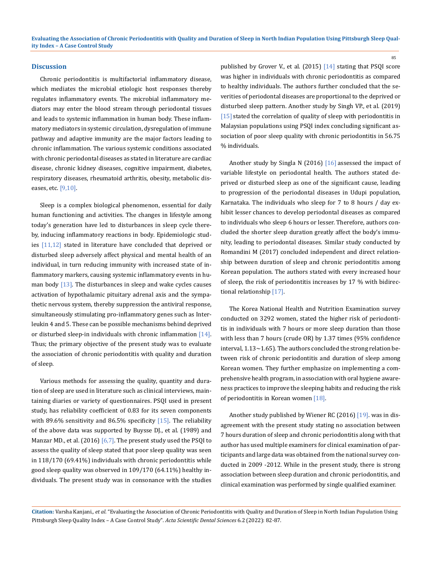#### **Discussion**

Chronic periodontitis is multifactorial inflammatory disease, which mediates the microbial etiologic host responses thereby regulates inflammatory events. The microbial inflammatory mediators may enter the blood stream through periodontal tissues and leads to systemic inflammation in human body. These inflammatory mediators in systemic circulation, dysregulation of immune pathway and adaptive immunity are the major factors leading to chronic inflammation. The various systemic conditions associated with chronic periodontal diseases as stated in literature are cardiac disease, chronic kidney diseases, cognitive impairment, diabetes, respiratory diseases, rheumatoid arthritis, obesity, metabolic diseases, etc.  $[9,10]$ .

Sleep is a complex biological phenomenon, essential for daily human functioning and activities. The changes in lifestyle among today's generation have led to disturbances in sleep cycle thereby, inducing inflammatory reactions in body. Epidemiologic studies [11,12] stated in literature have concluded that deprived or disturbed sleep adversely affect physical and mental health of an individual, in turn reducing immunity with increased state of inflammatory markers, causing systemic inflammatory events in human body [13]. The disturbances in sleep and wake cycles causes activation of hypothalamic pituitary adrenal axis and the sympathetic nervous system, thereby suppression the antiviral response, simultaneously stimulating pro-inflammatory genes such as Interleukin 4 and 5. These can be possible mechanisms behind deprived or disturbed sleep-in individuals with chronic inflammation [14]. Thus; the primary objective of the present study was to evaluate the association of chronic periodontitis with quality and duration of sleep.

Various methods for assessing the quality, quantity and duration of sleep are used in literature such as clinical interviews, maintaining diaries or variety of questionnaires. PSQI used in present study, has reliability coefficient of 0.83 for its seven components with 89.6% sensitivity and 86.5% specificity  $[15]$ . The reliability of the above data was supported by Buysse DJ., et al. (1989) and Manzar MD., et al. (2016) [6,7]. The present study used the PSQI to assess the quality of sleep stated that poor sleep quality was seen in 118/170 (69.41%) individuals with chronic periodontitis while good sleep quality was observed in 109/170 (64.11%) healthy individuals. The present study was in consonance with the studies

published by Grover V., et al. (2015) [14] stating that PSQI score was higher in individuals with chronic periodontitis as compared to healthy individuals. The authors further concluded that the severities of periodontal diseases are proportional to the deprived or disturbed sleep pattern. Another study by Singh VP., et al. (2019) [15] stated the correlation of quality of sleep with periodontitis in Malaysian populations using PSQI index concluding significant association of poor sleep quality with chronic periodontitis in 56.75 % individuals.

85

Another study by Singla N (2016) [16] assessed the impact of variable lifestyle on periodontal health. The authors stated deprived or disturbed sleep as one of the significant cause, leading to progression of the periodontal diseases in Udupi population, Karnataka. The individuals who sleep for 7 to 8 hours / day exhibit lesser chances to develop periodontal diseases as compared to individuals who sleep 6 hours or lesser. Therefore, authors concluded the shorter sleep duration greatly affect the body's immunity, leading to periodontal diseases. Similar study conducted by Romandini M (2017) concluded independent and direct relationship between duration of sleep and chronic periodontitis among Korean population. The authors stated with every increased hour of sleep, the risk of periodontitis increases by 17 % with bidirectional relationship [17].

The Korea National Health and Nutrition Examination survey conducted on 3292 women, stated the higher risk of periodontitis in individuals with 7 hours or more sleep duration than those with less than 7 hours (crude OR) by 1.37 times (95% confidence interval, 1.13∼1.65). The authors concluded the strong relation between risk of chronic periodontitis and duration of sleep among Korean women. They further emphasize on implementing a comprehensive health program, in association with oral hygiene awareness practices to improve the sleeping habits and reducing the risk of periodontitis in Korean women [18].

Another study published by Wiener RC (2016) [19]. was in disagreement with the present study stating no association between 7 hours duration of sleep and chronic periodontitis along with that author has used multiple examiners for clinical examination of participants and large data was obtained from the national survey conducted in 2009 -2012. While in the present study, there is strong association between sleep duration and chronic periodontitis, and clinical examination was performed by single qualified examiner.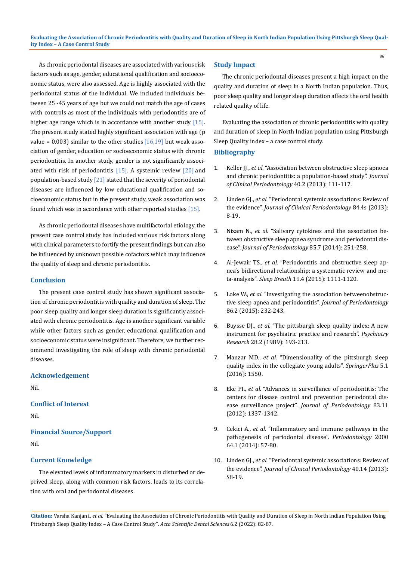As chronic periodontal diseases are associated with various risk factors such as age, gender, educational qualification and socioeconomic status, were also assessed. Age is highly associated with the periodontal status of the individual. We included individuals between 25 -45 years of age but we could not match the age of cases with controls as most of the individuals with periodontitis are of higher age range which is in accordance with another study  $[15]$ . The present study stated highly significant association with age (p value =  $0.003$ ) similar to the other studies  $[16,19]$  but weak association of gender, education or socioeconomic status with chronic periodontitis. In another study, gender is not significantly associated with risk of periodontitis  $[15]$ . A systemic review  $[20]$  and population-based study  $[21]$  stated that the severity of periodontal diseases are influenced by low educational qualification and socioeconomic status but in the present study, weak association was found which was in accordance with other reported studies [15].

As chronic periodontal diseases have multifactorial etiology, the present case control study has included various risk factors along with clinical parameters to fortify the present findings but can also be influenced by unknown possible cofactors which may influence the quality of sleep and chronic periodontitis.

#### **Conclusion**

The present case control study has shown significant association of chronic periodontitis with quality and duration of sleep. The poor sleep quality and longer sleep duration is significantly associated with chronic periodontitis. Age is another significant variable while other factors such as gender, educational qualification and socioeconomic status were insignificant. Therefore, we further recommend investigating the role of sleep with chronic periodontal diseases.

#### **Acknowledgement**

Nil.

## **Conflict of Interest**

Nil.

## **Financial Source/Support**

Nil.

## **Current Knowledge**

The elevated levels of inflammatory markers in disturbed or deprived sleep, along with common risk factors, leads to its correlation with oral and periodontal diseases.

#### **Study Impact**

The chronic periodontal diseases present a high impact on the quality and duration of sleep in a North Indian population. Thus, poor sleep quality and longer sleep duration affects the oral health related quality of life.

86

Evaluating the association of chronic periodontitis with quality and duration of sleep in North Indian population using Pittsburgh Sleep Quality index – a case control study.

#### **Bibliography**

- 1. Keller JL, *et al.* "Association between obstructive sleep apnoea [and chronic periodontitis: a population‐based study".](https://pubmed.ncbi.nlm.nih.gov/23211028/) *Journal [of Clinical Periodontology](https://pubmed.ncbi.nlm.nih.gov/23211028/)* 40.2 (2013): 111-117.
- 2. Linden GJ., *et al.* ["Periodontal systemic associations: Review of](https://pubmed.ncbi.nlm.nih.gov/23631586/)  the evidence". *[Journal of Clinical Periodontology](https://pubmed.ncbi.nlm.nih.gov/23631586/)* 84.4s (2013): [8‑19.](https://pubmed.ncbi.nlm.nih.gov/23631586/)
- 3. Nizam N., *et al.* ["Salivary cytokines and the association be](https://pubmed.ncbi.nlm.nih.gov/24410293/)[tween obstructive sleep apnea syndrome and periodontal dis](https://pubmed.ncbi.nlm.nih.gov/24410293/)ease". *[Journal of Periodontology](https://pubmed.ncbi.nlm.nih.gov/24410293/)* 85.7 (2014): 251-258.
- 4. Al-Jewair TS., *et al.* ["Periodontitis and obstructive sleep ap](https://pubmed.ncbi.nlm.nih.gov/25801281/)[nea's bidirectional relationship: a systematic review and me](https://pubmed.ncbi.nlm.nih.gov/25801281/)ta-analysis". *Sleep Breath* [19.4 \(2015\): 1111-1120.](https://pubmed.ncbi.nlm.nih.gov/25801281/)
- 5. Loke W., *et al.* ["Investigating the association betweenobstruc](https://pubmed.ncbi.nlm.nih.gov/25299385/)[tive sleep apnea and periodontitis".](https://pubmed.ncbi.nlm.nih.gov/25299385/) *Journal of Periodontology* [86.2 \(2015\): 232‑243.](https://pubmed.ncbi.nlm.nih.gov/25299385/)
- 6. Buysse DJ., *et al.* ["The pittsburgh sleep quality index: A new](https://pubmed.ncbi.nlm.nih.gov/2748771/)  [instrument for psychiatric practice and research".](https://pubmed.ncbi.nlm.nih.gov/2748771/) *Psychiatry Research* [28.2 \(1989\): 193‑213.](https://pubmed.ncbi.nlm.nih.gov/2748771/)
- 7. Manzar MD., *et al.* ["Dimensionality of the pittsburgh sleep](https://pubmed.ncbi.nlm.nih.gov/27652123/)  [quality index in the collegiate young adults".](https://pubmed.ncbi.nlm.nih.gov/27652123/) *SpringerPlus* 5.1 [\(2016\): 1550.](https://pubmed.ncbi.nlm.nih.gov/27652123/)
- 8. Eke PI., *et al.* ["Advances in surveillance of periodontitis: The](https://pubmed.ncbi.nlm.nih.gov/22324489/)  [centers for disease control and prevention periodontal dis](https://pubmed.ncbi.nlm.nih.gov/22324489/)ease surveillance project". *[Journal of Periodontology](https://pubmed.ncbi.nlm.nih.gov/22324489/)* 83.11 [\(2012\): 1337‑1342.](https://pubmed.ncbi.nlm.nih.gov/22324489/)
- 9. Cekici A., *et al.* ["Inflammatory and immune pathways in the](https://pubmed.ncbi.nlm.nih.gov/24320956/)  [pathogenesis of periodontal disease".](https://pubmed.ncbi.nlm.nih.gov/24320956/) *Periodontology* 2000 [64.1 \(2014\): 57‑80.](https://pubmed.ncbi.nlm.nih.gov/24320956/)
- 10. Linden GJ., *et al.* ["Periodontal systemic associations: Review of](https://pubmed.ncbi.nlm.nih.gov/23627336/)  the evidence". *[Journal of Clinical Periodontology](https://pubmed.ncbi.nlm.nih.gov/23627336/)* 40.14 (2013): S8-19.